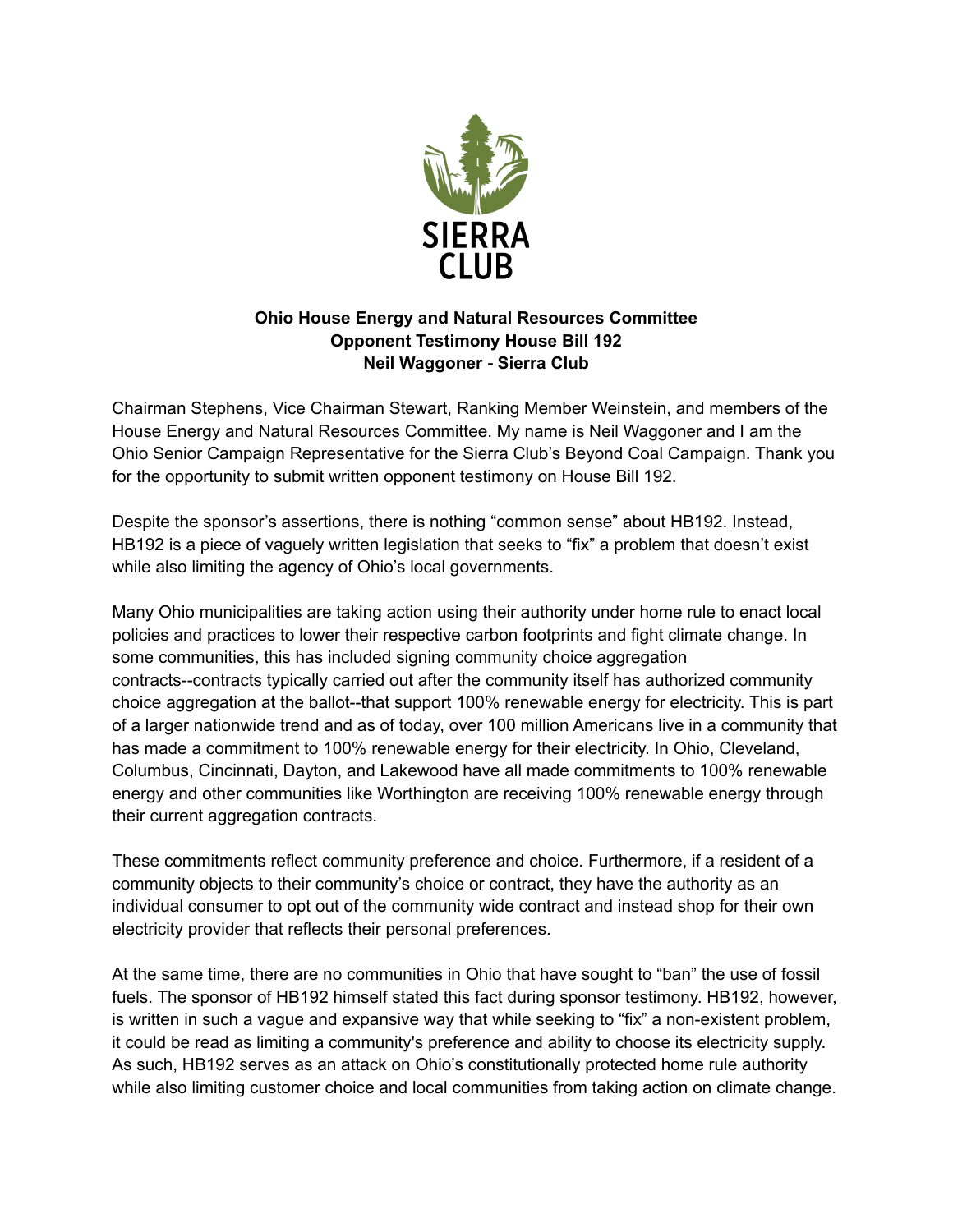

## **Ohio House Energy and Natural Resources Committee Opponent Testimony House Bill 192 Neil Waggoner - Sierra Club**

Chairman Stephens, Vice Chairman Stewart, Ranking Member Weinstein, and members of the House Energy and Natural Resources Committee. My name is Neil Waggoner and I am the Ohio Senior Campaign Representative for the Sierra Club's Beyond Coal Campaign. Thank you for the opportunity to submit written opponent testimony on House Bill 192.

Despite the sponsor's assertions, there is nothing "common sense" about HB192. Instead, HB192 is a piece of vaguely written legislation that seeks to "fix" a problem that doesn't exist while also limiting the agency of Ohio's local governments.

Many Ohio municipalities are taking action using their authority under home rule to enact local policies and practices to lower their respective carbon footprints and fight climate change. In some communities, this has included signing community choice aggregation contracts--contracts typically carried out after the community itself has authorized community choice aggregation at the ballot--that support 100% renewable energy for electricity. This is part of a larger nationwide trend and as of today, over 100 million Americans live in a community that has made a commitment to 100% renewable energy for their electricity. In Ohio, Cleveland, Columbus, Cincinnati, Dayton, and Lakewood have all made commitments to 100% renewable energy and other communities like Worthington are receiving 100% renewable energy through their current aggregation contracts.

These commitments reflect community preference and choice. Furthermore, if a resident of a community objects to their community's choice or contract, they have the authority as an individual consumer to opt out of the community wide contract and instead shop for their own electricity provider that reflects their personal preferences.

At the same time, there are no communities in Ohio that have sought to "ban" the use of fossil fuels. The sponsor of HB192 himself stated this fact during sponsor testimony. HB192, however, is written in such a vague and expansive way that while seeking to "fix" a non-existent problem, it could be read as limiting a community's preference and ability to choose its electricity supply. As such, HB192 serves as an attack on Ohio's constitutionally protected home rule authority while also limiting customer choice and local communities from taking action on climate change.